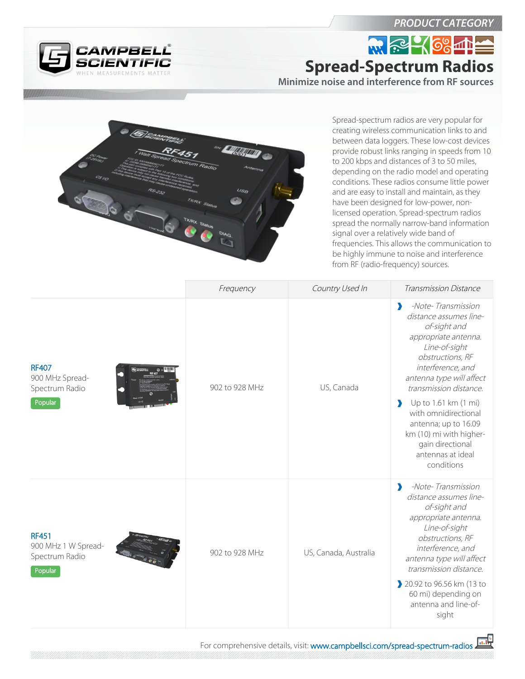CAMPBELL®

## *PRODUCT CATEGORY*

**NR RE- 684 Spread-Spectrum Radios**

**Minimize noise and interference from RF sources**



Spread-spectrum radios are very popular for creating wireless communication links to and between data loggers. These low-cost devices provide robust links ranging in speeds from 10 to 200 kbps and distances of 3 to 50 miles, depending on the radio model and operating conditions. These radios consume little power and are easy to install and maintain, as they have been designed for low-power, nonlicensed operation. Spread-spectrum radios spread the normally narrow-band information signal over a relatively wide band of frequencies. This allows the communication to be highly immune to noise and interference from RF (radio-frequency) sources.

|                                                                  | Frequency      | Country Used In       | Transmission Distance                                                                                                                                                                                                                                                                                                                                                                        |
|------------------------------------------------------------------|----------------|-----------------------|----------------------------------------------------------------------------------------------------------------------------------------------------------------------------------------------------------------------------------------------------------------------------------------------------------------------------------------------------------------------------------------------|
| <b>RF407</b><br>900 MHz Spread-<br>Spectrum Radio<br>Popular     | 902 to 928 MHz | US, Canada            | -Note-Transmission<br>э<br>distance assumes line-<br>of-sight and<br>appropriate antenna.<br>Line-of-sight<br>obstructions, RF<br>interference, and<br>antenna type will affect<br>transmission distance.<br>Up to 1.61 km (1 mi)<br>$\blacktriangleright$<br>with omnidirectional<br>antenna; up to 16.09<br>km (10) mi with higher-<br>gain directional<br>antennas at ideal<br>conditions |
| <b>RF451</b><br>900 MHz 1 W Spread-<br>Spectrum Radio<br>Popular | 902 to 928 MHz | US, Canada, Australia | -Note-Transmission<br>D<br>distance assumes line-<br>of-sight and<br>appropriate antenna.<br>Line-of-sight<br>obstructions, RF<br>interference, and<br>antenna type will affect<br>transmission distance.<br>20.92 to 96.56 km (13 to<br>60 mi) depending on<br>antenna and line-of-<br>sight                                                                                                |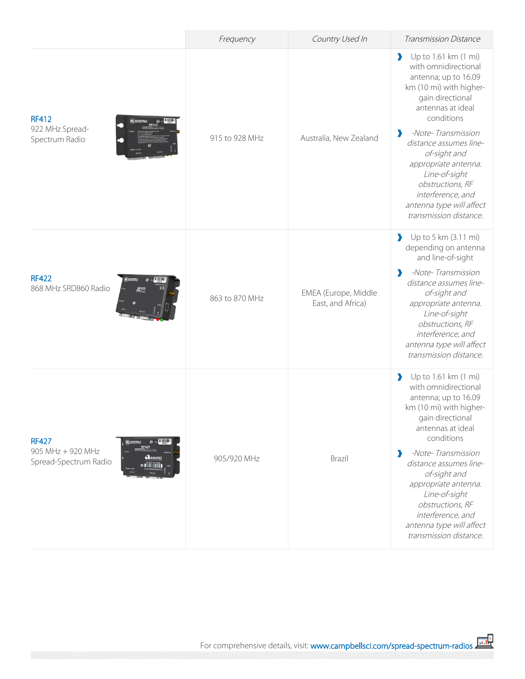|                                                                                                                               | Frequency      | Country Used In                           | Transmission Distance                                                                                                                                                                                                                                                                                                                                                                   |
|-------------------------------------------------------------------------------------------------------------------------------|----------------|-------------------------------------------|-----------------------------------------------------------------------------------------------------------------------------------------------------------------------------------------------------------------------------------------------------------------------------------------------------------------------------------------------------------------------------------------|
| <b>RF412</b><br>922 MHz Spread-<br>Spectrum Radio                                                                             | 915 to 928 MHz | Australia, New Zealand                    | Up to 1.61 km (1 mi)<br>$\blacktriangleright$<br>with omnidirectional<br>antenna; up to 16.09<br>km (10 mi) with higher-<br>gain directional<br>antennas at ideal<br>conditions<br>-Note-Transmission<br>distance assumes line-<br>of-sight and<br>appropriate antenna.<br>Line-of-sight<br>obstructions, RF<br>interference, and<br>antenna type will affect<br>transmission distance. |
| <b>RF422</b><br>868 MHz SRD860 Radio                                                                                          | 863 to 870 MHz | EMEA (Europe, Middle<br>East, and Africa) | Up to 5 km (3.11 mi)<br>depending on antenna<br>and line-of-sight<br>-Note-Transmission<br>э<br>distance assumes line-<br>of-sight and<br>appropriate antenna.<br>Line-of-sight<br>obstructions, RF<br>interference, and<br>antenna type will affect<br>transmission distance.                                                                                                          |
| <b>RF427</b><br><b>@</b> 22 HUUUH<br>905 MHz + 920 MHz<br>$\sum_{ANATEI}$<br>Spread-Spectrum Radio<br><b>Time in the film</b> | 905/920 MHz    | Brazil                                    | Up to 1.61 km (1 mi)<br>with omnidirectional<br>antenna; up to 16.09<br>km (10 mi) with higher-<br>gain directional<br>antennas at ideal<br>conditions<br>-Note-Transmission<br>э<br>distance assumes line-<br>of-sight and<br>appropriate antenna.<br>Line-of-sight<br>obstructions, RF<br>interference, and<br>antenna type will affect<br>transmission distance.                     |